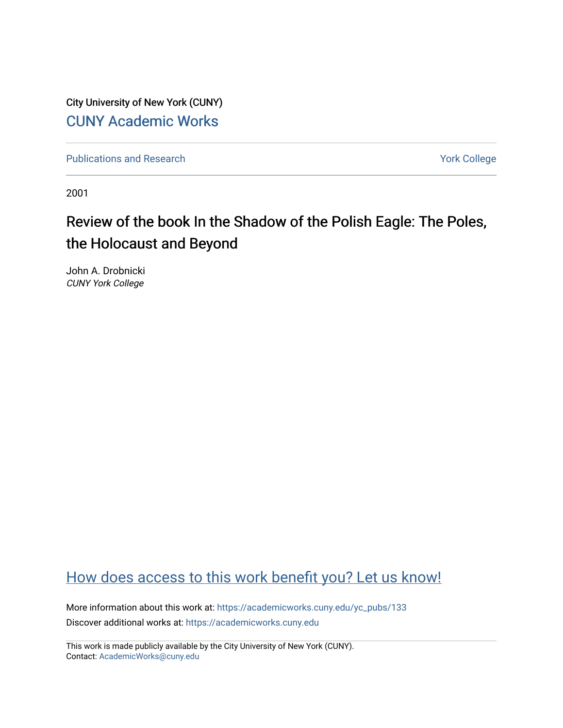City University of New York (CUNY) [CUNY Academic Works](https://academicworks.cuny.edu/) 

[Publications and Research](https://academicworks.cuny.edu/yc_pubs) Theorem 2012 Contract College Vork College

2001

## Review of the book In the Shadow of the Polish Eagle: The Poles, the Holocaust and Beyond

John A. Drobnicki CUNY York College

## [How does access to this work benefit you? Let us know!](http://ols.cuny.edu/academicworks/?ref=https://academicworks.cuny.edu/yc_pubs/133)

More information about this work at: [https://academicworks.cuny.edu/yc\\_pubs/133](https://academicworks.cuny.edu/yc_pubs/133) Discover additional works at: [https://academicworks.cuny.edu](https://academicworks.cuny.edu/?)

This work is made publicly available by the City University of New York (CUNY). Contact: [AcademicWorks@cuny.edu](mailto:AcademicWorks@cuny.edu)